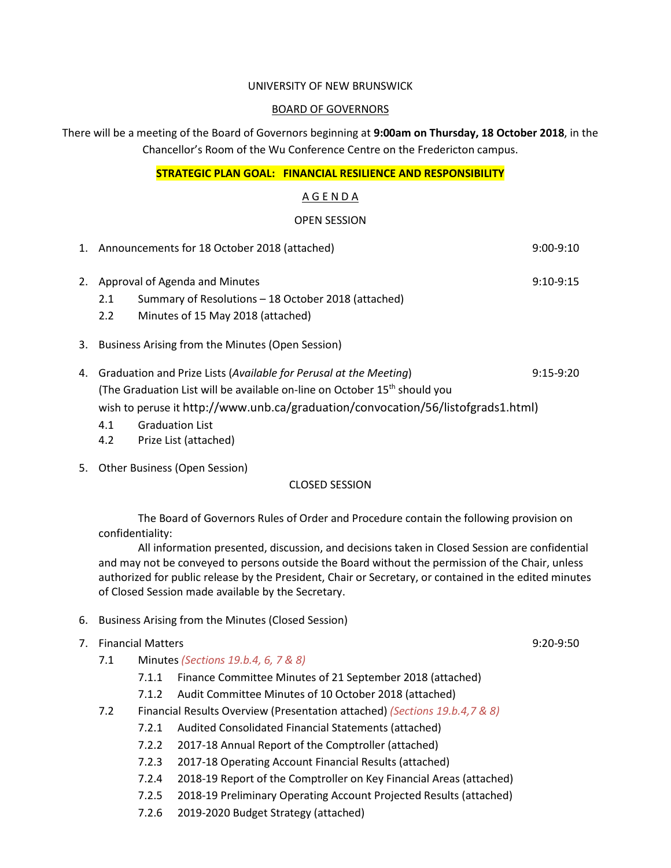#### UNIVERSITY OF NEW BRUNSWICK

#### BOARD OF GOVERNORS

There will be a meeting of the Board of Governors beginning at **9:00am on Thursday, 18 October 2018**, in the Chancellor's Room of the Wu Conference Centre on the Fredericton campus.

#### **STRATEGIC PLAN GOAL: FINANCIAL RESILIENCE AND RESPONSIBILITY**

#### A G E N D A

#### OPEN SESSION

- 1. Announcements for 18 October 2018 (attached) 9:00-9:10 2. Approval of Agenda and Minutes **9:10-9:15** and  $\sigma$  9:10-9:15 2.1 Summary of Resolutions – 18 October 2018 (attached) 2.2 Minutes of 15 May 2018 (attached) 3. Business Arising from the Minutes (Open Session) 4. Graduation and Prize Lists (*Available for Perusal at the Meeting*) 9:15-9:20
- (The Graduation List will be available on-line on October 15<sup>th</sup> should you wish to peruse it http://www.unb.ca/graduation/convocation/56/listofgrads1.html)
	- 4.1 Graduation List
	- 4.2 Prize List (attached)
- 5. Other Business (Open Session)

#### CLOSED SESSION

The Board of Governors Rules of Order and Procedure contain the following provision on confidentiality:

All information presented, discussion, and decisions taken in Closed Session are confidential and may not be conveyed to persons outside the Board without the permission of the Chair, unless authorized for public release by the President, Chair or Secretary, or contained in the edited minutes of Closed Session made available by the Secretary.

- 6. Business Arising from the Minutes (Closed Session)
- 7. Financial Matters 9:20-9:50
	- 7.1 Minutes *(Sections 19.b.4, 6, 7 & 8)*
		- 7.1.1 Finance Committee Minutes of 21 September 2018 (attached)
		- 7.1.2 Audit Committee Minutes of 10 October 2018 (attached)
	- 7.2 Financial Results Overview (Presentation attached) *(Sections 19.b.4,7 & 8)*
		- 7.2.1 Audited Consolidated Financial Statements (attached)
		- 7.2.2 2017-18 Annual Report of the Comptroller (attached)
		- 7.2.3 2017-18 Operating Account Financial Results (attached)
		- 7.2.4 2018-19 Report of the Comptroller on Key Financial Areas (attached)
		- 7.2.5 2018-19 Preliminary Operating Account Projected Results (attached)
		- 7.2.6 2019-2020 Budget Strategy (attached)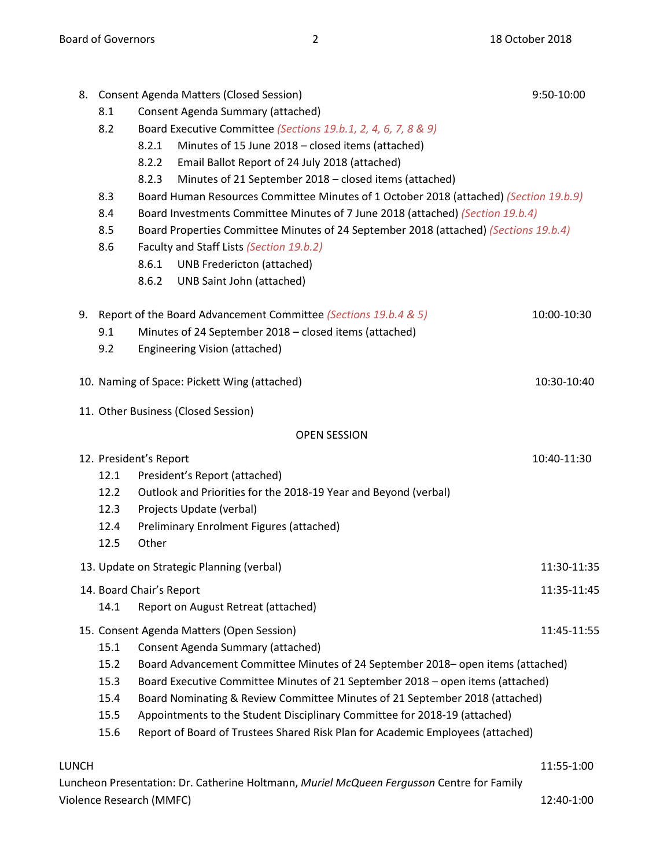|       |      | 8. Consent Agenda Matters (Closed Session)                                            | 9:50-10:00  |
|-------|------|---------------------------------------------------------------------------------------|-------------|
|       | 8.1  | Consent Agenda Summary (attached)                                                     |             |
|       | 8.2  | Board Executive Committee (Sections 19.b.1, 2, 4, 6, 7, 8 & 9)                        |             |
|       |      | Minutes of 15 June 2018 - closed items (attached)<br>8.2.1                            |             |
|       |      | Email Ballot Report of 24 July 2018 (attached)<br>8.2.2                               |             |
|       |      | Minutes of 21 September 2018 - closed items (attached)<br>8.2.3                       |             |
|       | 8.3  | Board Human Resources Committee Minutes of 1 October 2018 (attached) (Section 19.b.9) |             |
|       | 8.4  | Board Investments Committee Minutes of 7 June 2018 (attached) (Section 19.b.4)        |             |
|       | 8.5  | Board Properties Committee Minutes of 24 September 2018 (attached) (Sections 19.b.4)  |             |
|       | 8.6  | Faculty and Staff Lists (Section 19.b.2)                                              |             |
|       |      | 8.6.1<br><b>UNB Fredericton (attached)</b>                                            |             |
|       |      | 8.6.2<br>UNB Saint John (attached)                                                    |             |
|       |      | 9. Report of the Board Advancement Committee (Sections 19.b.4 & 5)                    | 10:00-10:30 |
|       | 9.1  | Minutes of 24 September 2018 - closed items (attached)                                |             |
|       | 9.2  | <b>Engineering Vision (attached)</b>                                                  |             |
|       |      | 10. Naming of Space: Pickett Wing (attached)                                          | 10:30-10:40 |
|       |      | 11. Other Business (Closed Session)                                                   |             |
|       |      | <b>OPEN SESSION</b>                                                                   |             |
|       |      | 12. President's Report                                                                | 10:40-11:30 |
|       | 12.1 | President's Report (attached)                                                         |             |
|       | 12.2 | Outlook and Priorities for the 2018-19 Year and Beyond (verbal)                       |             |
|       | 12.3 | Projects Update (verbal)                                                              |             |
|       | 12.4 | Preliminary Enrolment Figures (attached)                                              |             |
|       | 12.5 | Other                                                                                 |             |
|       |      | 13. Update on Strategic Planning (verbal)                                             | 11:30-11:35 |
|       |      | 14. Board Chair's Report                                                              | 11:35-11:45 |
|       | 14.1 | Report on August Retreat (attached)                                                   |             |
|       |      | 15. Consent Agenda Matters (Open Session)                                             | 11:45-11:55 |
|       | 15.1 | Consent Agenda Summary (attached)                                                     |             |
|       | 15.2 | Board Advancement Committee Minutes of 24 September 2018 - open items (attached)      |             |
|       | 15.3 | Board Executive Committee Minutes of 21 September 2018 - open items (attached)        |             |
|       | 15.4 | Board Nominating & Review Committee Minutes of 21 September 2018 (attached)           |             |
|       | 15.5 | Appointments to the Student Disciplinary Committee for 2018-19 (attached)             |             |
|       | 15.6 | Report of Board of Trustees Shared Risk Plan for Academic Employees (attached)        |             |
| LUNCH |      |                                                                                       | 11:55-1:00  |

Luncheon Presentation: Dr. Catherine Holtmann, *Muriel McQueen Fergusson* Centre for Family Violence Research (MMFC) 12:40-1:00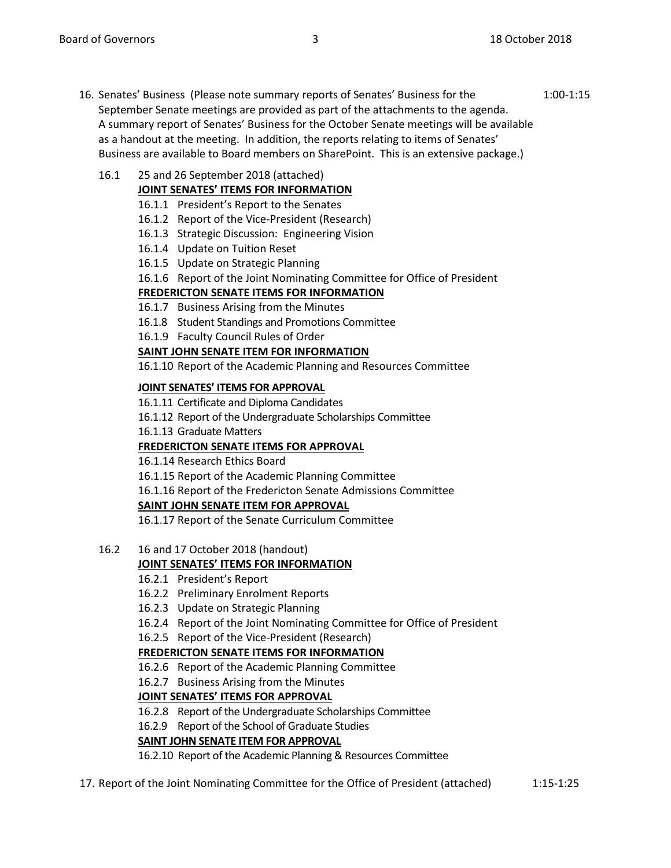16. Senates' Business (Please note summary reports of Senates' Business for the 1:00-1:15 September Senate meetings are provided as part of the attachments to the agenda. A summary report of Senates' Business for the October Senate meetings will be available as a handout at the meeting. In addition, the reports relating to items of Senates' Business are available to Board members on SharePoint. This is an extensive package.)

# 16.1 25 and 26 September 2018 (attached)

## **JOINT SENATES' ITEMS FOR INFORMATION**

- 16.1.1 President's Report to the Senates
- 16.1.2 Report of the Vice-President (Research)
- 16.1.3 Strategic Discussion: Engineering Vision
- 16.1.4 Update on Tuition Reset
- 16.1.5 Update on Strategic Planning
- 16.1.6 Report of the Joint Nominating Committee for Office of President

### **FREDERICTON SENATE ITEMS FOR INFORMATION**

- 16.1.7 Business Arising from the Minutes
- 16.1.8 Student Standings and Promotions Committee
- 16.1.9 Faculty Council Rules of Order

### **SAINT JOHN SENATE ITEM FOR INFORMATION**

16.1.10 Report of the Academic Planning and Resources Committee

#### **JOINT SENATES' ITEMS FOR APPROVAL**

16.1.11 Certificate and Diploma Candidates

16.1.12 Report of the Undergraduate Scholarships Committee

16.1.13 Graduate Matters

### **FREDERICTON SENATE ITEMS FOR APPROVAL**

16.1.14 Research Ethics Board

16.1.15 Report of the Academic Planning Committee

16.1.16 Report of the Fredericton Senate Admissions Committee

### **SAINT JOHN SENATE ITEM FOR APPROVAL**

16.1.17 Report of the Senate Curriculum Committee

16.2 16 and 17 October 2018 (handout)

### **JOINT SENATES' ITEMS FOR INFORMATION**

- 16.2.1 President's Report
- 16.2.2 Preliminary Enrolment Reports
- 16.2.3 Update on Strategic Planning
- 16.2.4 Report of the Joint Nominating Committee for Office of President
- 16.2.5 Report of the Vice-President (Research)

### **FREDERICTON SENATE ITEMS FOR INFORMATION**

- 16.2.6 Report of the Academic Planning Committee
- 16.2.7 Business Arising from the Minutes

### **JOINT SENATES' ITEMS FOR APPROVAL**

16.2.8 Report of the Undergraduate Scholarships Committee

16.2.9 Report of the School of Graduate Studies

### **SAINT JOHN SENATE ITEM FOR APPROVAL**

16.2.10 Report of the Academic Planning & Resources Committee

17. Report of the Joint Nominating Committee for the Office of President (attached) 1:15-1:25